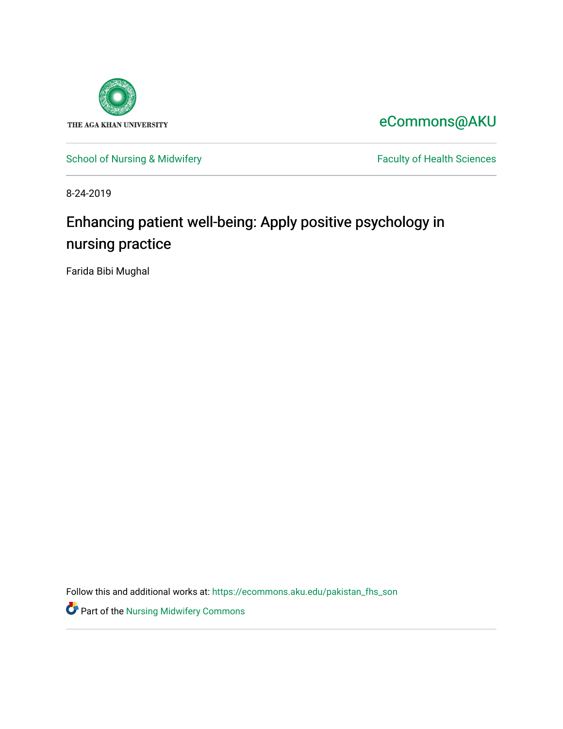

[eCommons@AKU](https://ecommons.aku.edu/) 

[School of Nursing & Midwifery](https://ecommons.aku.edu/pakistan_fhs_son) Faculty of Health Sciences

8-24-2019

# Enhancing patient well-being: Apply positive psychology in nursing practice

Farida Bibi Mughal

Follow this and additional works at: [https://ecommons.aku.edu/pakistan\\_fhs\\_son](https://ecommons.aku.edu/pakistan_fhs_son?utm_source=ecommons.aku.edu%2Fpakistan_fhs_son%2F377&utm_medium=PDF&utm_campaign=PDFCoverPages) 

**Part of the Nursing Midwifery Commons**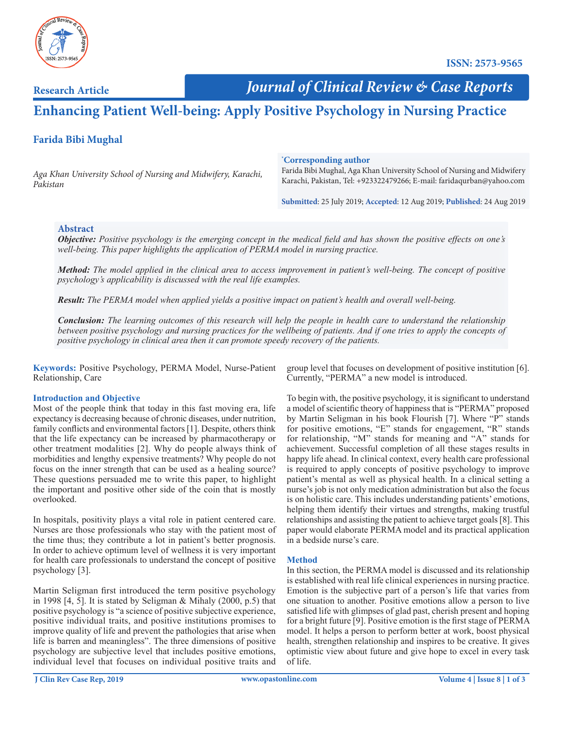

**Research Article**

 *Journal of Clinical Review & Case Reports*

## **Enhancing Patient Well-being: Apply Positive Psychology in Nursing Practice**

### **Farida Bibi Mughal**

*Aga Khan University School of Nursing and Midwifery, Karachi, Pakistan*

#### **\* Corresponding author**

Farida Bibi Mughal, Aga Khan University School of Nursing and Midwifery Karachi, Pakistan, Tel: +923322479266; E-mail: faridaqurban@yahoo.com

**Submitted**: 25 July 2019; **Accepted**: 12 Aug 2019; **Published**: 24 Aug 2019

#### **Abstract**

*Objective: Positive psychology is the emerging concept in the medical field and has shown the positive effects on one's well-being. This paper highlights the application of PERMA model in nursing practice.* 

*Method: The model applied in the clinical area to access improvement in patient's well-being. The concept of positive psychology's applicability is discussed with the real life examples.* 

*Result: The PERMA model when applied yields a positive impact on patient's health and overall well-being.* 

*Conclusion: The learning outcomes of this research will help the people in health care to understand the relationship between positive psychology and nursing practices for the wellbeing of patients. And if one tries to apply the concepts of positive psychology in clinical area then it can promote speedy recovery of the patients.* 

**Keywords:** Positive Psychology, PERMA Model, Nurse-Patient Relationship, Care

#### **Introduction and Objective**

Most of the people think that today in this fast moving era, life expectancy is decreasing because of chronic diseases, under nutrition, family conflicts and environmental factors [1]. Despite, others think that the life expectancy can be increased by pharmacotherapy or other treatment modalities [2]. Why do people always think of morbidities and lengthy expensive treatments? Why people do not focus on the inner strength that can be used as a healing source? These questions persuaded me to write this paper, to highlight the important and positive other side of the coin that is mostly overlooked.

In hospitals, positivity plays a vital role in patient centered care. Nurses are those professionals who stay with the patient most of the time thus; they contribute a lot in patient's better prognosis. In order to achieve optimum level of wellness it is very important for health care professionals to understand the concept of positive psychology [3].

Martin Seligman first introduced the term positive psychology in 1998 [4, 5]. It is stated by Seligman & Mihaly (2000, p.5) that positive psychology is "a science of positive subjective experience, positive individual traits, and positive institutions promises to improve quality of life and prevent the pathologies that arise when life is barren and meaningless". The three dimensions of positive psychology are subjective level that includes positive emotions, individual level that focuses on individual positive traits and

group level that focuses on development of positive institution [6]. Currently, "PERMA" a new model is introduced.

To begin with, the positive psychology, it is significant to understand a model of scientific theory of happiness that is "PERMA" proposed by Martin Seligman in his book Flourish [7]. Where "P" stands for positive emotions, "E" stands for engagement, "R" stands for relationship, "M" stands for meaning and "A" stands for achievement. Successful completion of all these stages results in happy life ahead. In clinical context, every health care professional is required to apply concepts of positive psychology to improve patient's mental as well as physical health. In a clinical setting a nurse's job is not only medication administration but also the focus is on holistic care. This includes understanding patients' emotions, helping them identify their virtues and strengths, making trustful relationships and assisting the patient to achieve target goals [8]. This paper would elaborate PERMA model and its practical application in a bedside nurse's care.

#### **Method**

In this section, the PERMA model is discussed and its relationship is established with real life clinical experiences in nursing practice. Emotion is the subjective part of a person's life that varies from one situation to another. Positive emotions allow a person to live satisfied life with glimpses of glad past, cherish present and hoping for a bright future [9]. Positive emotion is the first stage of PERMA model. It helps a person to perform better at work, boost physical health, strengthen relationship and inspires to be creative. It gives optimistic view about future and give hope to excel in every task of life.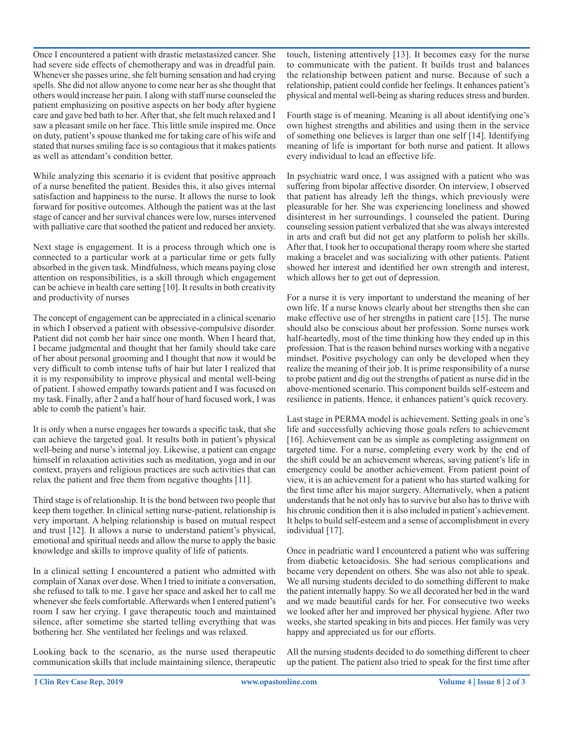Once I encountered a patient with drastic metastasized cancer. She had severe side effects of chemotherapy and was in dreadful pain. Whenever she passes urine, she felt burning sensation and had crying spells. She did not allow anyone to come near her as she thought that others would increase her pain. I along with staff nurse counseled the patient emphasizing on positive aspects on her body after hygiene care and gave bed bath to her. After that, she felt much relaxed and I saw a pleasant smile on her face. This little smile inspired me. Once on duty, patient's spouse thanked me for taking care of his wife and stated that nurses smiling face is so contagious that it makes patients as well as attendant's condition better.

While analyzing this scenario it is evident that positive approach of a nurse benefited the patient. Besides this, it also gives internal satisfaction and happiness to the nurse. It allows the nurse to look forward for positive outcomes. Although the patient was at the last stage of cancer and her survival chances were low, nurses intervened with palliative care that soothed the patient and reduced her anxiety.

Next stage is engagement. It is a process through which one is connected to a particular work at a particular time or gets fully absorbed in the given task. Mindfulness, which means paying close attention on responsibilities, is a skill through which engagement can be achieve in health care setting [10]. It results in both creativity and productivity of nurses

The concept of engagement can be appreciated in a clinical scenario in which I observed a patient with obsessive-compulsive disorder. Patient did not comb her hair since one month. When I heard that, I became judgmental and thought that her family should take care of her about personal grooming and I thought that now it would be very difficult to comb intense tufts of hair but later I realized that it is my responsibility to improve physical and mental well-being of patient. I showed empathy towards patient and I was focused on my task. Finally, after 2 and a half hour of hard focused work, I was able to comb the patient's hair.

It is only when a nurse engages her towards a specific task, that she can achieve the targeted goal. It results both in patient's physical well-being and nurse's internal joy. Likewise, a patient can engage himself in relaxation activities such as meditation, yoga and in our context, prayers and religious practices are such activities that can relax the patient and free them from negative thoughts [11].

Third stage is of relationship. It is the bond between two people that keep them together. In clinical setting nurse-patient, relationship is very important. A helping relationship is based on mutual respect and trust [12]. It allows a nurse to understand patient's physical, emotional and spiritual needs and allow the nurse to apply the basic knowledge and skills to improve quality of life of patients.

In a clinical setting I encountered a patient who admitted with complain of Xanax over dose. When I tried to initiate a conversation, she refused to talk to me. I gave her space and asked her to call me whenever she feels comfortable. Afterwards when I entered patient's room I saw her crying. I gave therapeutic touch and maintained silence, after sometime she started telling everything that was bothering her. She ventilated her feelings and was relaxed.

Looking back to the scenario, as the nurse used therapeutic communication skills that include maintaining silence, therapeutic

touch, listening attentively [13]. It becomes easy for the nurse to communicate with the patient. It builds trust and balances the relationship between patient and nurse. Because of such a relationship, patient could confide her feelings. It enhances patient's physical and mental well-being as sharing reduces stress and burden.

Fourth stage is of meaning. Meaning is all about identifying one's own highest strengths and abilities and using them in the service of something one believes is larger than one self [14]. Identifying meaning of life is important for both nurse and patient. It allows every individual to lead an effective life.

In psychiatric ward once, I was assigned with a patient who was suffering from bipolar affective disorder. On interview, I observed that patient has already left the things, which previously were pleasurable for her. She was experiencing loneliness and showed disinterest in her surroundings. I counseled the patient. During counseling session patient verbalized that she was always interested in arts and craft but did not get any platform to polish her skills. After that, I took her to occupational therapy room where she started making a bracelet and was socializing with other patients. Patient showed her interest and identified her own strength and interest, which allows her to get out of depression.

For a nurse it is very important to understand the meaning of her own life. If a nurse knows clearly about her strengths then she can make effective use of her strengths in patient care [15]. The nurse should also be conscious about her profession. Some nurses work half-heartedly, most of the time thinking how they ended up in this profession. That is the reason behind nurses working with a negative mindset. Positive psychology can only be developed when they realize the meaning of their job. It is prime responsibility of a nurse to probe patient and dig out the strengths of patient as nurse did in the above-mentioned scenario. This component builds self-esteem and resilience in patients. Hence, it enhances patient's quick recovery.

Last stage in PERMA model is achievement. Setting goals in one's life and successfully achieving those goals refers to achievement [16]. Achievement can be as simple as completing assignment on targeted time. For a nurse, completing every work by the end of the shift could be an achievement whereas, saving patient's life in emergency could be another achievement. From patient point of view, it is an achievement for a patient who has started walking for the first time after his major surgery. Alternatively, when a patient understands that he not only has to survive but also has to thrive with his chronic condition then it is also included in patient's achievement. It helps to build self-esteem and a sense of accomplishment in every individual [17].

Once in peadriatic ward I encountered a patient who was suffering from diabetic ketoacidosis. She had serious complications and became very dependent on others. She was also not able to speak. We all nursing students decided to do something different to make the patient internally happy. So we all decorated her bed in the ward and we made beautiful cards for her. For consecutive two weeks we looked after her and improved her physical hygiene. After two weeks, she started speaking in bits and pieces. Her family was very happy and appreciated us for our efforts.

All the nursing students decided to do something different to cheer up the patient. The patient also tried to speak for the first time after